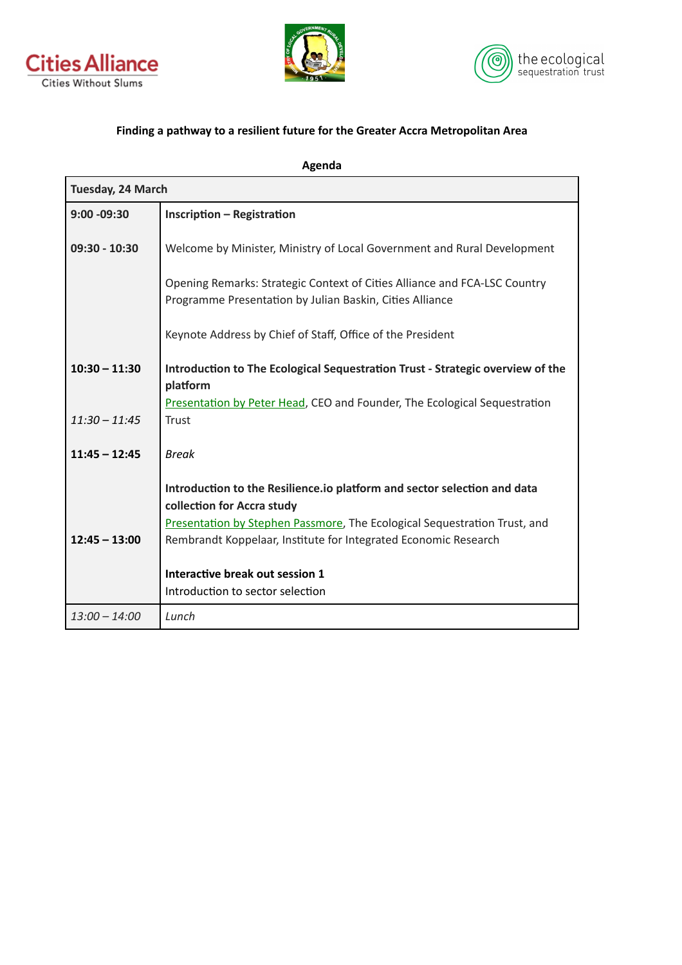





## Finding a pathway to a resilient future for the Greater Accra Metropolitan Area

| Agenda            |                                                                                                                                       |
|-------------------|---------------------------------------------------------------------------------------------------------------------------------------|
| Tuesday, 24 March |                                                                                                                                       |
| $9:00 - 09:30$    | <b>Inscription - Registration</b>                                                                                                     |
| $09:30 - 10:30$   | Welcome by Minister, Ministry of Local Government and Rural Development                                                               |
|                   | Opening Remarks: Strategic Context of Cities Alliance and FCA-LSC Country<br>Programme Presentation by Julian Baskin, Cities Alliance |
|                   | Keynote Address by Chief of Staff, Office of the President                                                                            |
| $10:30 - 11:30$   | Introduction to The Ecological Sequestration Trust - Strategic overview of the<br>platform                                            |
| $11:30 - 11:45$   | Presentation by Peter Head, CEO and Founder, The Ecological Sequestration<br><b>Trust</b>                                             |
| $11:45 - 12:45$   | <b>Break</b>                                                                                                                          |
|                   | Introduction to the Resilience.io platform and sector selection and data<br>collection for Accra study                                |
|                   | Presentation by Stephen Passmore, The Ecological Sequestration Trust, and                                                             |
| $12:45 - 13:00$   | Rembrandt Koppelaar, Institute for Integrated Economic Research                                                                       |
|                   | Interactive break out session 1<br>Introduction to sector selection                                                                   |
| $13:00 - 14:00$   | Lunch                                                                                                                                 |